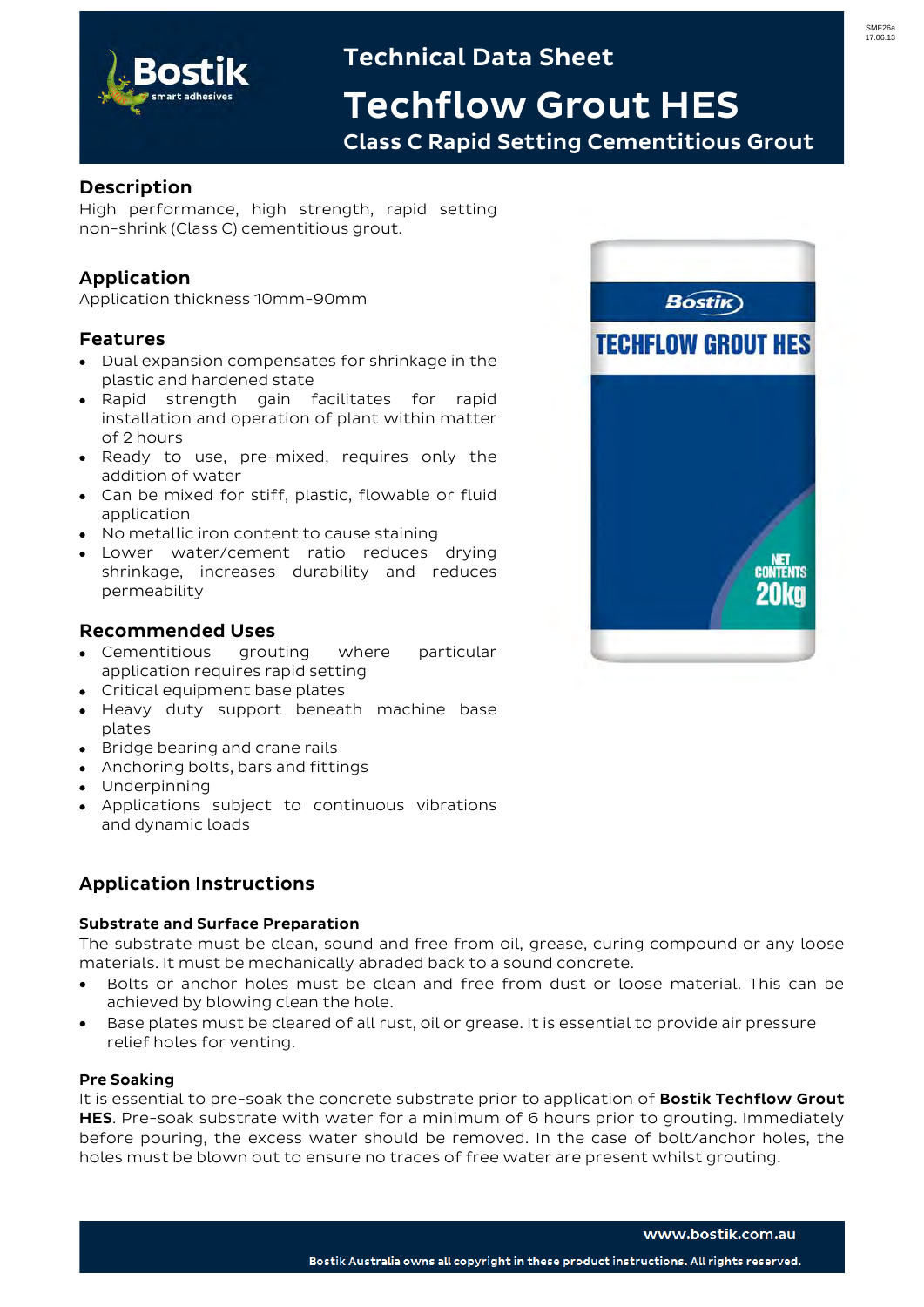

# Technical Data Sheet

Techflow Grout HES Class C Rapid Setting Cementitious Grout

# Description

High performance, high strength, rapid setting non-shrink (Class C) cementitious grout.

# Application

Application thickness 10mm-90mm

# Features

- Dual expansion compensates for shrinkage in the plastic and hardened state
- Rapid strength gain facilitates for rapid installation and operation of plant within matter of 2 hours
- Ready to use, pre-mixed, requires only the addition of water
- Can be mixed for stiff, plastic, flowable or fluid application
- No metallic iron content to cause staining
- Lower water/cement ratio reduces drying shrinkage, increases durability and reduces permeability

## Recommended Uses

- Cementitious grouting where particular application requires rapid setting
- Critical equipment base plates
- Heavy duty support beneath machine base plates
- Bridge bearing and crane rails
- Anchoring bolts, bars and fittings
- Underpinning
- Applications subject to continuous vibrations and dynamic loads

## Application Instructions

#### Substrate and Surface Preparation

The substrate must be clean, sound and free from oil, grease, curing compound or any loose materials. It must be mechanically abraded back to a sound concrete.

- Bolts or anchor holes must be clean and free from dust or loose material. This can be achieved by blowing clean the hole.
- Base plates must be cleared of all rust, oil or grease. It is essential to provide air pressure relief holes for venting.

#### Pre Soaking

It is essential to pre-soak the concrete substrate prior to application of Bostik Techflow Grout **HES.** Pre-soak substrate with water for a minimum of 6 hours prior to grouting. Immediately before pouring, the excess water should be removed. In the case of bolt/anchor holes, the holes must be blown out to ensure no traces of free water are present whilst grouting.

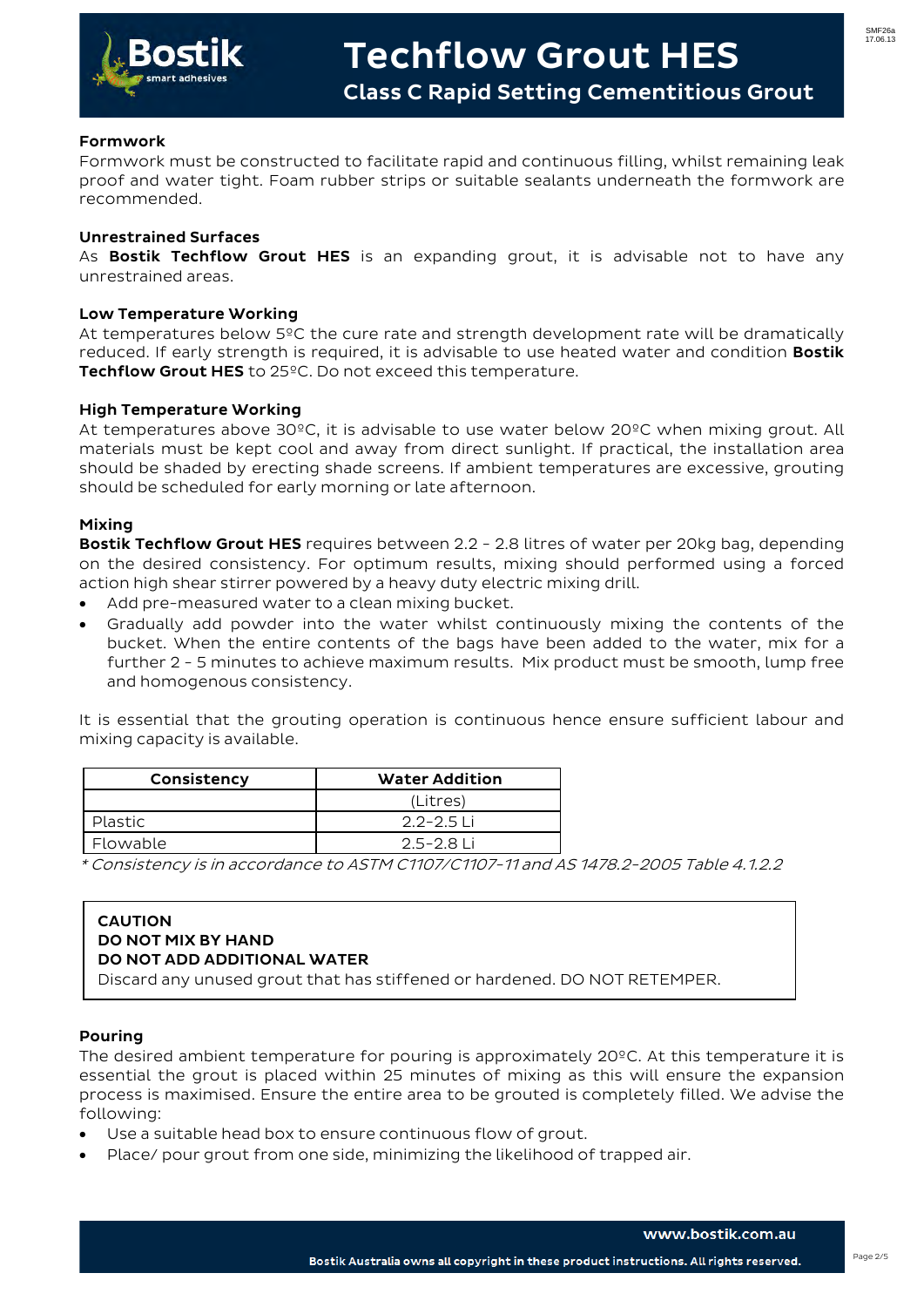

#### Formwork

Formwork must be constructed to facilitate rapid and continuous filling, whilst remaining leak proof and water tight. Foam rubber strips or suitable sealants underneath the formwork are recommended.

#### Unrestrained Surfaces

As **Bostik Techflow Grout HES** is an expanding grout, it is advisable not to have any unrestrained areas.

#### Low Temperature Working

At temperatures below 5ºC the cure rate and strength development rate will be dramatically reduced. If early strength is required, it is advisable to use heated water and condition **Bostik** Techflow Grout HES to 25<sup>o</sup>C. Do not exceed this temperature.

#### High Temperature Working

At temperatures above 30ºC, it is advisable to use water below 20ºC when mixing grout. All materials must be kept cool and away from direct sunlight. If practical, the installation area should be shaded by erecting shade screens. If ambient temperatures are excessive, grouting should be scheduled for early morning or late afternoon.

#### Mixing

**Bostik Techflow Grout HES** requires between 2.2 - 2.8 litres of water per 20kg bag, depending on the desired consistency. For optimum results, mixing should performed using a forced action high shear stirrer powered by a heavy duty electric mixing drill.

- Add pre-measured water to a clean mixing bucket.
- Gradually add powder into the water whilst continuously mixing the contents of the bucket. When the entire contents of the bags have been added to the water, mix for a further 2 - 5 minutes to achieve maximum results. Mix product must be smooth, lump free and homogenous consistency.

It is essential that the grouting operation is continuous hence ensure sufficient labour and mixing capacity is available.

| Consistency    | <b>Water Addition</b> |  |
|----------------|-----------------------|--|
|                | (Litres)              |  |
| <b>Plastic</b> | $2.2 - 2.5$ Li        |  |
| Flowable       | 2.5-2.8 Li            |  |

\* Consistency is in accordance to ASTM C1107/C1107-11 and AS 1478.2-2005 Table 4.1.2.2

#### CAUTION DO NOT MIX BY HAND DO NOT ADD ADDITIONAL WATER

Discard any unused grout that has stiffened or hardened. DO NOT RETEMPER.

#### Pouring

The desired ambient temperature for pouring is approximately 20°C. At this temperature it is essential the grout is placed within 25 minutes of mixing as this will ensure the expansion process is maximised. Ensure the entire area to be grouted is completely filled. We advise the following:

- Use a suitable head box to ensure continuous flow of grout.
- Place/ pour grout from one side, minimizing the likelihood of trapped air.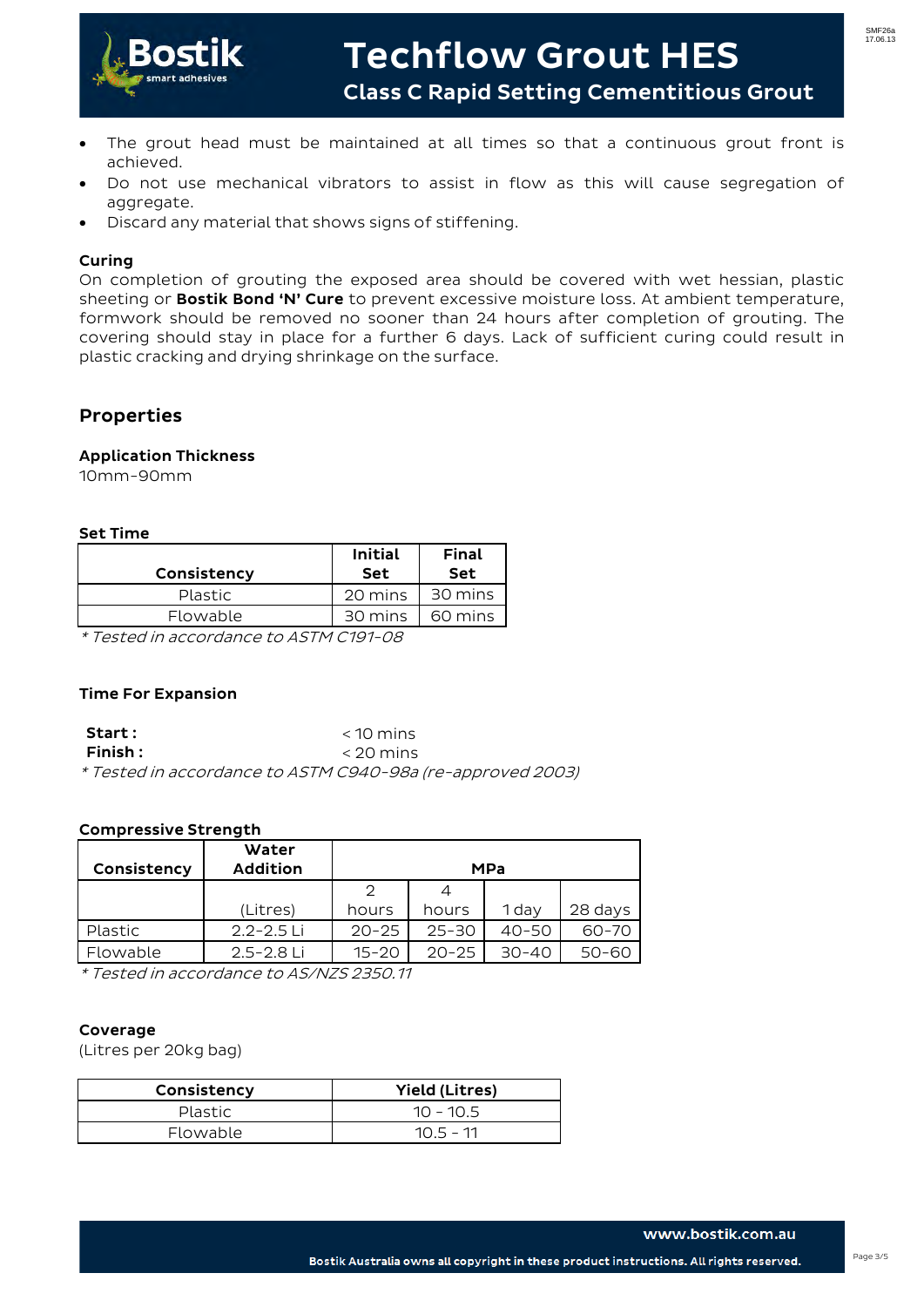

- The grout head must be maintained at all times so that a continuous grout front is achieved.
- Do not use mechanical vibrators to assist in flow as this will cause segregation of aggregate.
- Discard any material that shows signs of stiffening.

### Curing

On completion of grouting the exposed area should be covered with wet hessian, plastic sheeting or **Bostik Bond 'N' Cure** to prevent excessive moisture loss. At ambient temperature, formwork should be removed no sooner than 24 hours after completion of grouting. The covering should stay in place for a further 6 days. Lack of sufficient curing could result in plastic cracking and drying shrinkage on the surface.

## Properties

#### Application Thickness

10mm-90mm

#### Set Time

| Consistency    | <b>Initial</b><br>Set | Final<br><b>Set</b> |
|----------------|-----------------------|---------------------|
| <b>Plastic</b> | 20 mins               | 30 mins             |
| Flowable       | 30 mins               | 60 mins             |
| . .            |                       |                     |

\* Tested in accordance to ASTM C191-08

#### Time For Expansion

| Start :                                                    | $<$ 10 mins |
|------------------------------------------------------------|-------------|
| $F$ inish :                                                | $<$ 20 mins |
| * Tested in accordance to ASTM C940-98a (re-approved 2003) |             |

#### Compressive Strength

| Consistency    | Water<br><b>Addition</b> | <b>MPa</b> |           |           |           |
|----------------|--------------------------|------------|-----------|-----------|-----------|
|                |                          | っ          |           |           |           |
|                | (Litres)                 | hours      | hours     | 1 day     | 28 days   |
| <b>Plastic</b> | $2.2 - 2.5$ Li           | $20 - 25$  | $25 - 30$ | $40 - 50$ | 60-70     |
| Flowable       | 2.5-2.8 Li               | $15 - 20$  | $20 - 25$ | 30-40     | $50 - 60$ |

\* Tested in accordance to AS/NZS 2350.11

#### Coverage

(Litres per 20kg bag)

| Consistency    | <b>Yield (Litres)</b> |  |
|----------------|-----------------------|--|
| <b>Plastic</b> | $10 - 10.5$           |  |
| Flowable       | $105 - 11$            |  |

Bostik Australia owns all copyright in these product instructions. All rights reserved.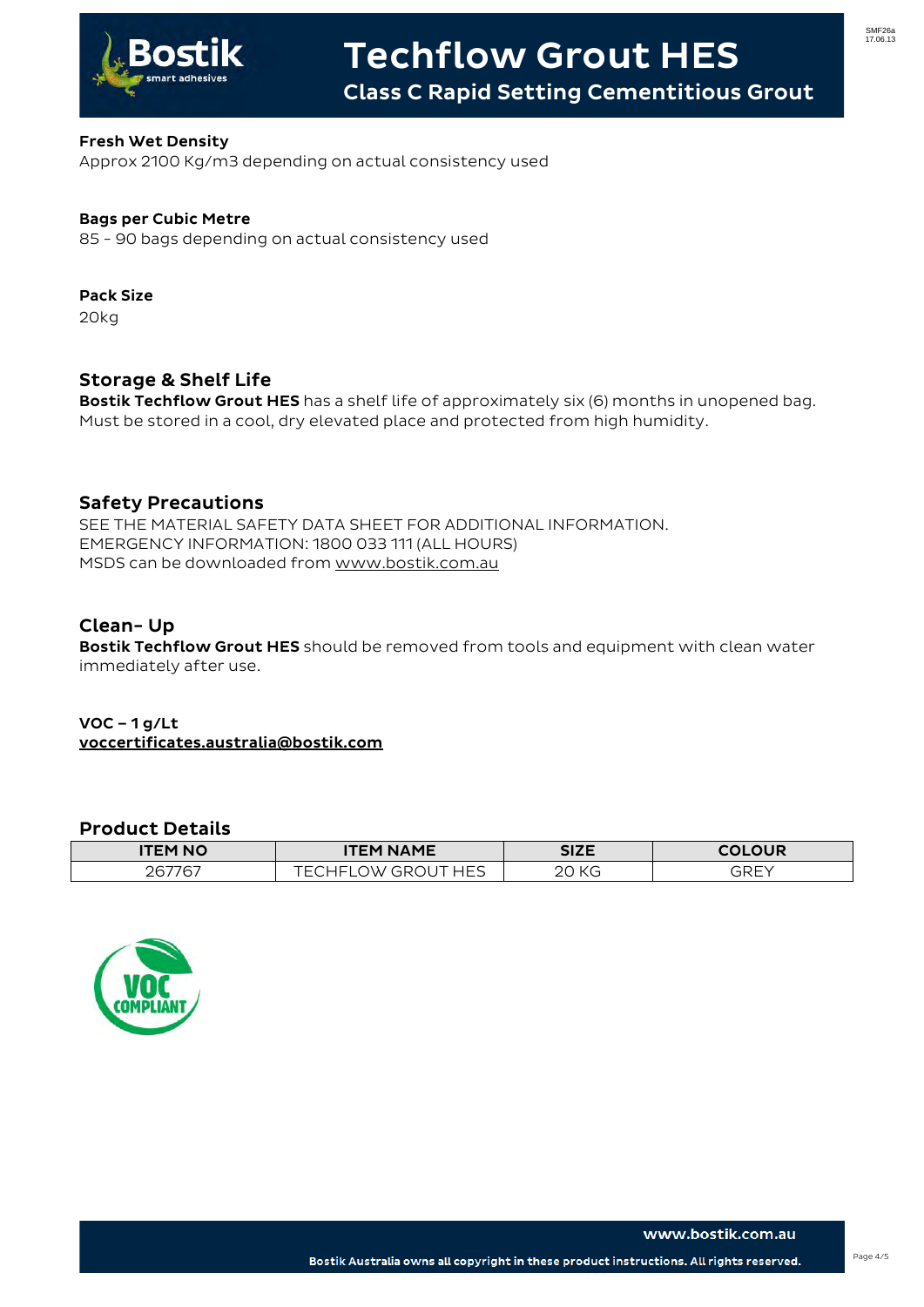

### Fresh Wet Density

Approx 2100 Kg/m3 depending on actual consistency used

### Bags per Cubic Metre

85 - 90 bags depending on actual consistency used

# Pack Size

20kg

## Storage & Shelf Life

**Bostik Techflow Grout HES** has a shelf life of approximately six (6) months in unopened bag. Must be stored in a cool, dry elevated place and protected from high humidity.

### Safety Precautions

SEE THE MATERIAL SAFETY DATA SHEET FOR ADDITIONAL INFORMATION. EMERGENCY INFORMATION: 1800 033 111 (ALL HOURS) MSDS can be downloaded from [www.bostik.com.au](http://www.bostik.com.au/)

### Clean- Up

Bostik Techflow Grout HES should be removed from tools and equipment with clean water immediately after use.

### VOC – 1 g/Lt voccertificates.australia@bostik.com

### Product Details

| <b>ITEM NO</b> | <b>NAME</b><br>ГЕМ                      | <b>SIZE</b> | יםו וח ור                 |
|----------------|-----------------------------------------|-------------|---------------------------|
| $ -$<br>∩∈⊐    | ᆜᄃᆮ<br>−<br>$\mathcal{M}$<br>– –<br>ب — | $\sim$      | $\cap$ $\cap$ $\cap$<br>- |



www.bostik.com.au